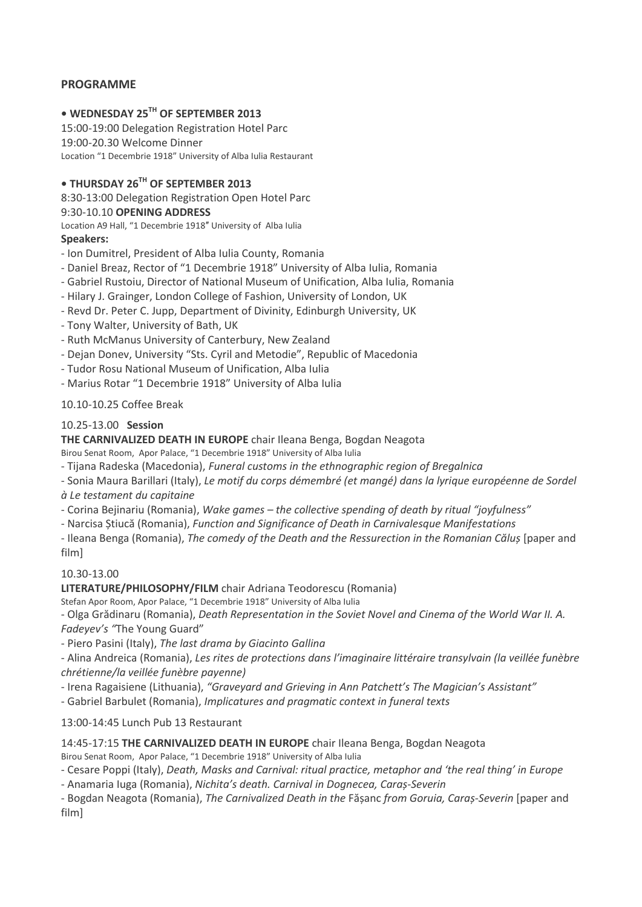## **PROGRAMME**

# **• WEDNESDAY 25TH OF SEPTEMBER 2013**

15:00-19:00 Delegation Registration Hotel Parc 19:00-20.30 Welcome Dinner Location "1 Decembrie 1918" University of Alba Iulia Restaurant

# **• THURSDAY 26TH OF SEPTEMBER 2013**

8:30-13:00 Delegation Registration Open Hotel Parc

#### 9:30-10.10 **OPENING ADDRESS**

Location A9 Hall, "1 Decembrie 1918″ University of Alba Iulia

#### **Speakers:**

- Ion Dumitrel, President of Alba Iulia County, Romania
- Daniel Breaz, Rector of "1 Decembrie 1918" University of Alba Iulia, Romania
- Gabriel Rustoiu, Director of National Museum of Unification, Alba Iulia, Romania
- Hilary J. Grainger, London College of Fashion, University of London, UK
- Revd Dr. Peter C. Jupp, Department of Divinity, Edinburgh University, UK
- Tony Walter, University of Bath, UK
- Ruth McManus University of Canterbury, New Zealand
- Dejan Donev, University "Sts. Cyril and Metodie", Republic of Macedonia
- Tudor Rosu National Museum of Unification, Alba Iulia
- Marius Rotar "1 Decembrie 1918" University of Alba Iulia

10.10-10.25 Coffee Break

#### 10.25-13.00 **Session**

**THE CARNIVALIZED DEATH IN EUROPE** chair Ileana Benga, Bogdan Neagota

Birou Senat Room, Apor Palace, "1 Decembrie 1918" University of Alba Iulia

- Tijana Radeska (Macedonia), *Funeral customs in the ethnographic region of Bregalnica*
- Sonia Maura Barillari (Italy), *Le motif du corps démembré (et mangé) dans la lyrique européenne de Sordel à Le testament du capitaine*
- Corina Bejinariu (Romania), *Wake games – the collective spending of death by ritual "joyfulness"*
- Narcisa Știucă (Romania), *Function and Significance of Death in Carnivalesque Manifestations*

- Ileana Benga (Romania), *The comedy of the Death and the Ressurection in the Romanian Căluș* [paper and film]

#### 10.30-13.00

**LITERATURE/PHILOSOPHY/FILM** chair Adriana Teodorescu (Romania)

Stefan Apor Room, Apor Palace, "1 Decembrie 1918" University of Alba Iulia

- Olga Grădinaru (Romania), *Death Representation in the Soviet Novel and Cinema of the World War II. A. Fadeyev's "*The Young Guard"

- Piero Pasini (Italy), *The last drama by Giacinto Gallina*

- Alina Andreica (Romania), *Les rites de protections dans l'imaginaire littéraire transylvain (la veillée funèbre chrétienne/la veillée funèbre payenne)*

- Irena Ragaisiene (Lithuania), *"Graveyard and Grieving in Ann Patchett's The Magician's Assistant"*

- Gabriel Barbulet (Romania), *Implicatures and pragmatic context in funeral texts*

13:00-14:45 Lunch Pub 13 Restaurant

14:45-17:15 **THE CARNIVALIZED DEATH IN EUROPE** chair Ileana Benga, Bogdan Neagota

Birou Senat Room, Apor Palace, "1 Decembrie 1918" University of Alba Iulia

- Cesare Poppi (Italy), *Death, Masks and Carnival: ritual practice, metaphor and 'the real thing' in Europe*

- Anamaria Iuga (Romania), *Nichita's death. Carnival in Dognecea, Caraș-Severin*

- Bogdan Neagota (Romania), *The Carnivalized Death in the* Fășanc *from Goruia, Caraș-Severin* [paper and film]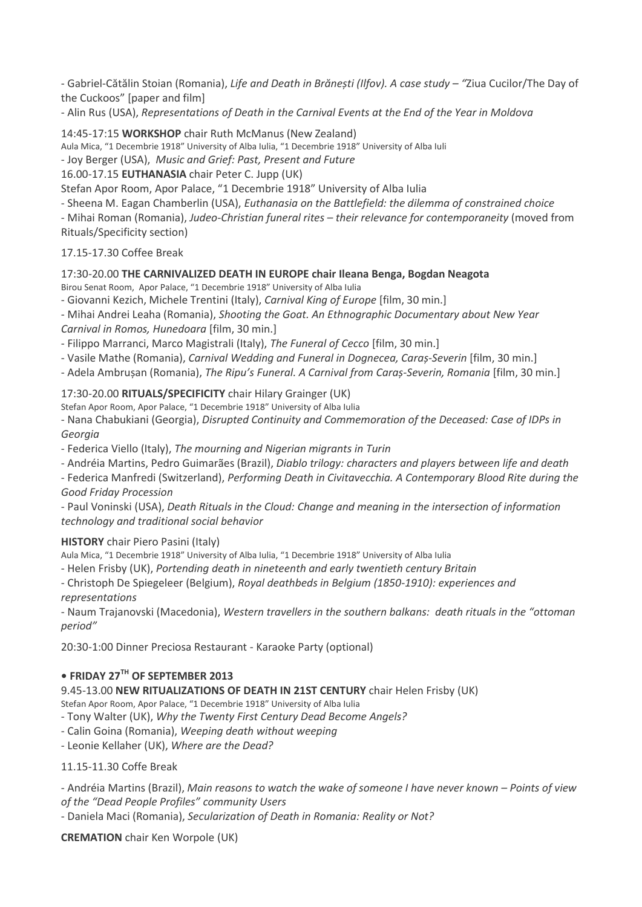- Gabriel-Cătălin Stoian (Romania), *Life and Death in Brănești (Ilfov). A case study – "*Ziua Cucilor/The Day of the Cuckoos" [paper and film]

- Alin Rus (USA), *Representations of Death in the Carnival Events at the End of the Year in Moldova*

14:45-17:15 **WORKSHOP** chair Ruth McManus (New Zealand)

Aula Mica, "1 Decembrie 1918" University of Alba Iulia, "1 Decembrie 1918" University of Alba Iuli

- Joy Berger (USA), *Music and Grief: Past, Present and Future*

16.00-17.15 **EUTHANASIA** chair Peter C. Jupp (UK)

Stefan Apor Room, Apor Palace, "1 Decembrie 1918" University of Alba Iulia

- Sheena M. Eagan Chamberlin (USA), *Euthanasia on the Battlefield: the dilemma of constrained choice*

- Mihai Roman (Romania), *Judeo-Christian funeral rites – their relevance for contemporaneity* (moved from Rituals/Specificity section)

## 17.15-17.30 Coffee Break

#### 17:30-20.00 **THE CARNIVALIZED DEATH IN EUROPE chair Ileana Benga, Bogdan Neagota**

Birou Senat Room, Apor Palace, "1 Decembrie 1918" University of Alba Iulia

- Giovanni Kezich, Michele Trentini (Italy), *Carnival King of Europe* [film, 30 min.]

- Mihai Andrei Leaha (Romania), *Shooting the Goat. An Ethnographic Documentary about New Year Carnival in Romos, Hunedoara* [film, 30 min.]

- Filippo Marranci, Marco Magistrali (Italy), *The Funeral of Cecco* [film, 30 min.]

- Vasile Mathe (Romania), *Carnival Wedding and Funeral in Dognecea, Caraș-Severin* [film, 30 min.]

- Adela Ambrușan (Romania), *The Ripu's Funeral. A Carnival from Caraș-Severin, Romania* [film, 30 min.]

## 17:30-20.00 **RITUALS/SPECIFICITY** chair Hilary Grainger (UK)

Stefan Apor Room, Apor Palace, "1 Decembrie 1918" University of Alba Iulia

- Nana Chabukiani (Georgia), *Disrupted Continuity and Commemoration of the Deceased: Case of IDPs in Georgia*

- Federica Viello (Italy), *The mourning and Nigerian migrants in Turin*

- Andréia Martins, Pedro Guimarães (Brazil), *Diablo trilogy: characters and players between life and death*

- Federica Manfredi (Switzerland), *Performing Death in Civitavecchia. A Contemporary Blood Rite during the Good Friday Procession*

- Paul Voninski (USA), *Death Rituals in the Cloud: Change and meaning in the intersection of information technology and traditional social behavior*

## **HISTORY** chair Piero Pasini (Italy)

Aula Mica, "1 Decembrie 1918" University of Alba Iulia, "1 Decembrie 1918" University of Alba Iulia

- Helen Frisby (UK), *Portending death in nineteenth and early twentieth century Britain*

- Christoph De Spiegeleer (Belgium), *Royal deathbeds in Belgium (1850-1910): experiences and representations*

- Naum Trajanovski (Macedonia), *Western travellers in the southern balkans: death rituals in the "ottoman period"*

20:30-1:00 Dinner Preciosa Restaurant - Karaoke Party (optional)

# **• FRIDAY 27TH OF SEPTEMBER 2013**

9.45-13.00 **NEW RITUALIZATIONS OF DEATH IN 21ST CENTURY** chair Helen Frisby (UK)

Stefan Apor Room, Apor Palace, "1 Decembrie 1918" University of Alba Iulia

- Tony Walter (UK), *Why the Twenty First Century Dead Become Angels?*

- Calin Goina (Romania), *Weeping death without weeping*

- Leonie Kellaher (UK), *Where are the Dead?*

## 11.15-11.30 Coffe Break

- Andréia Martins (Brazil), *Main reasons to watch the wake of someone I have never known – Points of view of the "Dead People Profiles" community Users*

- Daniela Maci (Romania), *Secularization of Death in Romania: Reality or Not?*

**CREMATION** chair Ken Worpole (UK)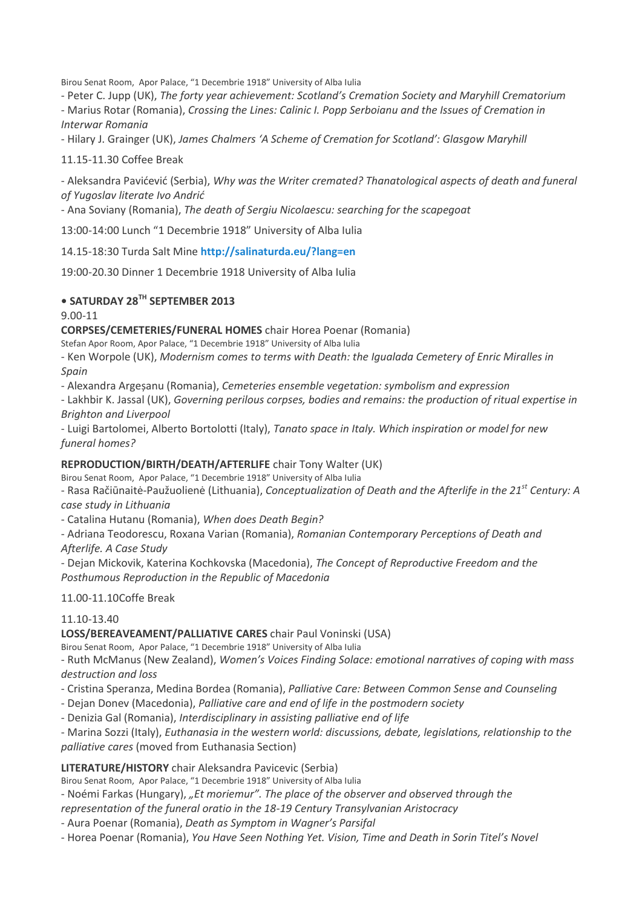Birou Senat Room, Apor Palace, "1 Decembrie 1918" University of Alba Iulia

- Peter C. Jupp (UK), *The forty year achievement: Scotland's Cremation Society and Maryhill Crematorium*

- Marius Rotar (Romania), *Crossing the Lines: Calinic I. Popp Serboianu and the Issues of Cremation in Interwar Romania*

- Hilary J. Grainger (UK), *James Chalmers 'A Scheme of Cremation for Scotland': Glasgow Maryhill*

11.15-11.30 Coffee Break

- Aleksandra Pavićević (Serbia), *Why was the Writer cremated? Thanatological aspects of death and funeral of Yugoslav literate Ivo Andrić*

- Ana Soviany (Romania), *The death of Sergiu Nicolaescu: searching for the scapegoat*

13:00-14:00 Lunch "1 Decembrie 1918" University of Alba Iulia

14.15-18:30 Turda Salt Mine **<http://salinaturda.eu/?lang=en>**

19:00-20.30 Dinner 1 Decembrie 1918 University of Alba Iulia

# **• SATURDAY 28TH SEPTEMBER 2013**

9.00-11

**CORPSES/CEMETERIES/FUNERAL HOMES** chair Horea Poenar (Romania)

Stefan Apor Room, Apor Palace, "1 Decembrie 1918" University of Alba Iulia

- Ken Worpole (UK), *Modernism comes to terms with Death: the Igualada Cemetery of Enric Miralles in Spain*

- Alexandra Argeșanu (Romania), *Cemeteries ensemble vegetation: symbolism and expression*

- Lakhbir K. Jassal (UK), *Governing perilous corpses, bodies and remains: the production of ritual expertise in Brighton and Liverpool*

- Luigi Bartolomei, Alberto Bortolotti (Italy), *Tanato space in Italy. Which inspiration or model for new funeral homes?*

## **REPRODUCTION/BIRTH/DEATH/AFTERLIFE** chair Tony Walter (UK)

Birou Senat Room, Apor Palace, "1 Decembrie 1918" University of Alba Iulia

- Rasa Račiūnaitė-Paužuolienė (Lithuania), *Conceptualization of Death and the Afterlife in the 21st Century: A case study in Lithuania*

- Catalina Hutanu (Romania), *When does Death Begin?*

- Adriana Teodorescu, Roxana Varian (Romania), *Romanian Contemporary Perceptions of Death and Afterlife. A Case Study*

- Dejan Mickovik, Katerina Kochkovska (Macedonia), *The Concept of Reproductive Freedom and the Posthumous Reproduction in the Republic of Macedonia*

11.00-11.10Coffe Break

## 11.10-13.40

## **LOSS/BEREAVEAMENT/PALLIATIVE CARES** chair Paul Voninski (USA)

Birou Senat Room, Apor Palace, "1 Decembrie 1918" University of Alba Iulia

- Ruth McManus (New Zealand), *Women's Voices Finding Solace: emotional narratives of coping with mass destruction and loss*

- Cristina Speranza, Medina Bordea (Romania), *Palliative Care: Between Common Sense and Counseling*

- Dejan Donev (Macedonia), *Palliative care and end of life in the postmodern society*

- Denizia Gal (Romania), *Interdisciplinary in assisting palliative end of life*

- Marina Sozzi (Italy), *Euthanasia in the western world: discussions, debate, legislations, relationship to the palliative cares* (moved from Euthanasia Section)

## **LITERATURE/HISTORY** chair Aleksandra Pavicevic (Serbia)

Birou Senat Room, Apor Palace, "1 Decembrie 1918" University of Alba Iulia

- Noémi Farkas (Hungary), *"Et moriemur". The place of the observer and observed through the* 

*representation of the funeral oratio in the 18-19 Century Transylvanian Aristocracy*

- Aura Poenar (Romania), *Death as Symptom in Wagner's Parsifal*

- Horea Poenar (Romania), *You Have Seen Nothing Yet. Vision, Time and Death in Sorin Titel's Novel*